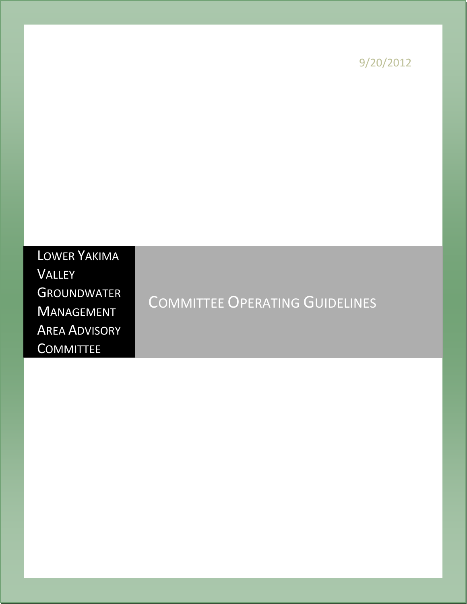9/20/2012

# LOWER YAKIMA VALLEY **GROUNDWATER** MANAGEMENT AREA ADVISORY **COMMITTEE**

# COMMITTEE OPERATING GUIDELINES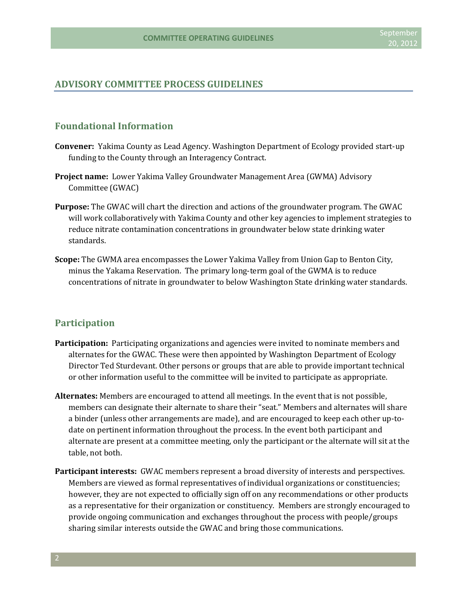#### **ADVISORY COMMITTEE PROCESS GUIDELINES**

# **Foundational Information**

- **Convener:** Yakima County as Lead Agency. Washington Department of Ecology provided start-up funding to the County through an Interagency Contract.
- **Project name:** Lower Yakima Valley Groundwater Management Area (GWMA) Advisory Committee (GWAC)
- **Purpose:** The GWAC will chart the direction and actions of the groundwater program. The GWAC will work collaboratively with Yakima County and other key agencies to implement strategies to reduce nitrate contamination concentrations in groundwater below state drinking water standards.
- **Scope:** The GWMA area encompasses the Lower Yakima Valley from Union Gap to Benton City, minus the Yakama Reservation. The primary long-term goal of the GWMA is to reduce concentrations of nitrate in groundwater to below Washington State drinking water standards.

#### **Participation**

- **Participation:** Participating organizations and agencies were invited to nominate members and alternates for the GWAC. These were then appointed by Washington Department of Ecology Director Ted Sturdevant. Other persons or groups that are able to provide important technical or other information useful to the committee will be invited to participate as appropriate.
- **Alternates:** Members are encouraged to attend all meetings. In the event that is not possible, members can designate their alternate to share their "seat." Members and alternates will share a binder (unless other arrangements are made), and are encouraged to keep each other up-todate on pertinent information throughout the process. In the event both participant and alternate are present at a committee meeting, only the participant or the alternate will sit at the table, not both.
- **Participant interests:** GWAC members represent a broad diversity of interests and perspectives. Members are viewed as formal representatives of individual organizations or constituencies; however, they are not expected to officially sign off on any recommendations or other products as a representative for their organization or constituency. Members are strongly encouraged to provide ongoing communication and exchanges throughout the process with people/groups sharing similar interests outside the GWAC and bring those communications.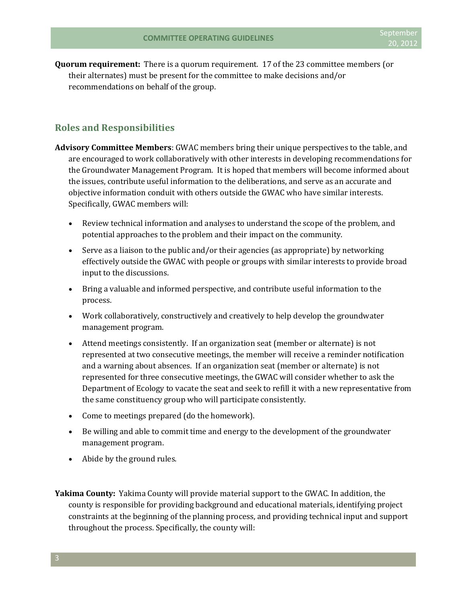**Quorum requirement:** There is a quorum requirement. 17 of the 23 committee members (or their alternates) must be present for the committee to make decisions and/or recommendations on behalf of the group.

### **Roles and Responsibilities**

- **Advisory Committee Members**: GWAC members bring their unique perspectives to the table, and are encouraged to work collaboratively with other interests in developing recommendations for the Groundwater Management Program. It is hoped that members will become informed about the issues, contribute useful information to the deliberations, and serve as an accurate and objective information conduit with others outside the GWAC who have similar interests. Specifically, GWAC members will:
	- Review technical information and analyses to understand the scope of the problem, and potential approaches to the problem and their impact on the community.
	- Serve as a liaison to the public and/or their agencies (as appropriate) by networking effectively outside the GWAC with people or groups with similar interests to provide broad input to the discussions.
	- Bring a valuable and informed perspective, and contribute useful information to the process.
	- Work collaboratively, constructively and creatively to help develop the groundwater management program.
	- Attend meetings consistently. If an organization seat (member or alternate) is not represented at two consecutive meetings, the member will receive a reminder notification and a warning about absences. If an organization seat (member or alternate) is not represented for three consecutive meetings, the GWAC will consider whether to ask the Department of Ecology to vacate the seat and seek to refill it with a new representative from the same constituency group who will participate consistently.
	- Come to meetings prepared (do the homework).
	- Be willing and able to commit time and energy to the development of the groundwater management program.
	- Abide by the ground rules.

**Yakima County:** Yakima County will provide material support to the GWAC. In addition, the county is responsible for providing background and educational materials, identifying project constraints at the beginning of the planning process, and providing technical input and support throughout the process. Specifically, the county will: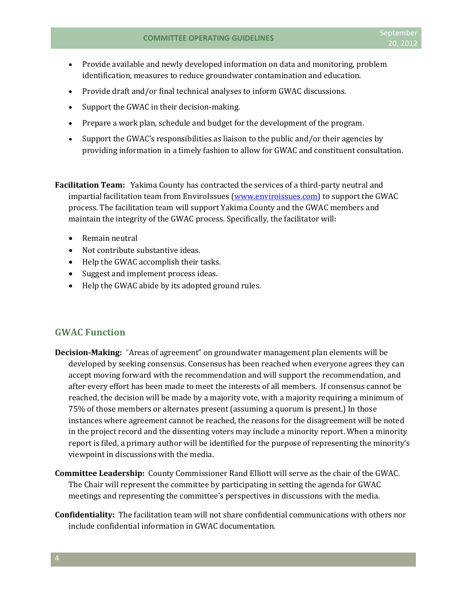- Provide available and newly developed information on data and monitoring, problem identification, measures to reduce groundwater contamination and education.
- Provide draft and/or final technical analyses to inform GWAC discussions.
- Support the GWAC in their decision-making.
- Prepare a work plan, schedule and budget for the development of the program.
- Support the GWAC's responsibilities as liaison to the public and/or their agencies by providing information in a timely fashion to allow for GWAC and constituent consultation.

**Facilitation Team:** Yakima County has contracted the services of a third-party neutral and impartial facilitation team from EnviroIssues [\(www.enviroissues.com\)](http://www.enviroissues.com/) to support the GWAC process. The facilitation team will support Yakima County and the GWAC members and maintain the integrity of the GWAC process. Specifically, the facilitator will:

- Remain neutral
- Not contribute substantive ideas.
- Help the GWAC accomplish their tasks.
- Suggest and implement process ideas.
- Help the GWAC abide by its adopted ground rules.

### **GWAC Function**

- **Decision-Making:** "Areas of agreement" on groundwater management plan elements will be developed by seeking consensus. Consensus has been reached when everyone agrees they can accept moving forward with the recommendation and will support the recommendation, and after every effort has been made to meet the interests of all members. If consensus cannot be reached, the decision will be made by a majority vote, with a majority requiring a minimum of 75% of those members or alternates present (assuming a quorum is present.) In those instances where agreement cannot be reached, the reasons for the disagreement will be noted in the project record and the dissenting voters may include a minority report. When a minority report is filed, a primary author will be identified for the purpose of representing the minority's viewpoint in discussions with the media.
- **Committee Leadership:** County Commissioner Rand Elliott will serve as the chair of the GWAC. The Chair will represent the committee by participating in setting the agenda for GWAC meetings and representing the committee's perspectives in discussions with the media.
- **Confidentiality:** The facilitation team will not share confidential communications with others nor include confidential information in GWAC documentation.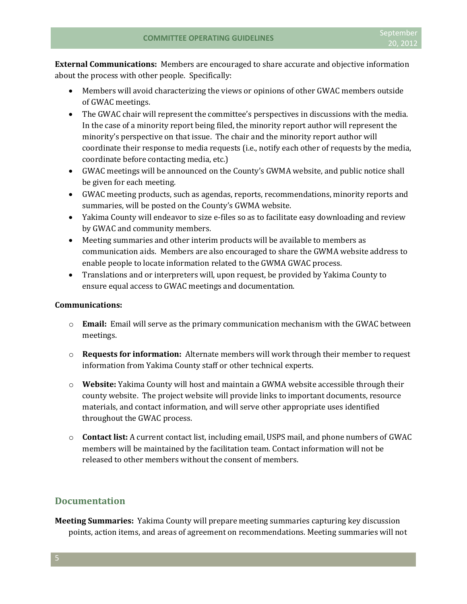**External Communications:** Members are encouraged to share accurate and objective information about the process with other people. Specifically:

- Members will avoid characterizing the views or opinions of other GWAC members outside of GWAC meetings.
- The GWAC chair will represent the committee's perspectives in discussions with the media. In the case of a minority report being filed, the minority report author will represent the minority's perspective on that issue. The chair and the minority report author will coordinate their response to media requests (i.e., notify each other of requests by the media, coordinate before contacting media, etc.)
- GWAC meetings will be announced on the County's GWMA website, and public notice shall be given for each meeting.
- GWAC meeting products, such as agendas, reports, recommendations, minority reports and summaries, will be posted on the County's GWMA website.
- Yakima County will endeavor to size e-files so as to facilitate easy downloading and review by GWAC and community members.
- Meeting summaries and other interim products will be available to members as communication aids. Members are also encouraged to share the GWMA website address to enable people to locate information related to the GWMA GWAC process.
- Translations and or interpreters will, upon request, be provided by Yakima County to ensure equal access to GWAC meetings and documentation.

#### **Communications:**

- o **Email:** Email will serve as the primary communication mechanism with the GWAC between meetings.
- o **Requests for information:** Alternate members will work through their member to request information from Yakima County staff or other technical experts.
- o **Website:** Yakima County will host and maintain a GWMA website accessible through their county website. The project website will provide links to important documents, resource materials, and contact information, and will serve other appropriate uses identified throughout the GWAC process.
- o **Contact list:** A current contact list, including email, USPS mail, and phone numbers of GWAC members will be maintained by the facilitation team. Contact information will not be released to other members without the consent of members.

# **Documentation**

**Meeting Summaries:** Yakima County will prepare meeting summaries capturing key discussion points, action items, and areas of agreement on recommendations. Meeting summaries will not